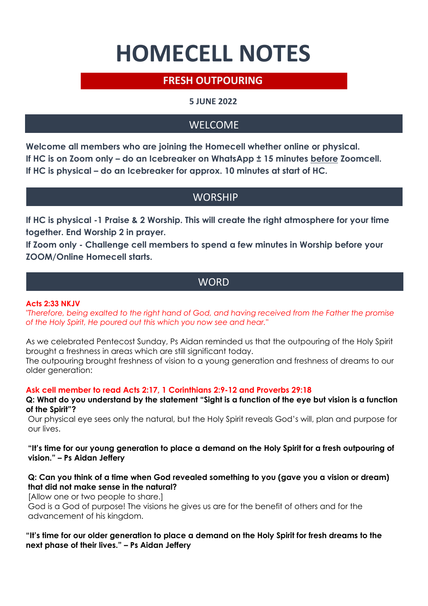# **HOMECELL NOTES**

# **FRESH OUTPOURING**

## **5 JUNE 2022**

# WELCOME

**Welcome all members who are joining the Homecell whether online or physical. If HC is on Zoom only – do an Icebreaker on WhatsApp ± 15 minutes before Zoomcell. If HC is physical – do an Icebreaker for approx. 10 minutes at start of HC.**

## **WORSHIP**

**If HC is physical -1 Praise & 2 Worship. This will create the right atmosphere for your time together. End Worship 2 in prayer.**

**If Zoom only - Challenge cell members to spend a few minutes in Worship before your ZOOM/Online Homecell starts.** 

## **WORD**

#### **Acts 2:33 NKJV**

*"Therefore, being exalted to the right hand of God, and having received from the Father the promise of the Holy Spirit, He poured out this which you now see and hear."*

As we celebrated Pentecost Sunday, Ps Aidan reminded us that the outpouring of the Holy Spirit brought a freshness in areas which are still significant today.

The outpouring brought freshness of vision to a young generation and freshness of dreams to our older generation:

#### **Ask cell member to read Acts 2:17, 1 Corinthians 2:9-12 and Proverbs 29:18**

**Q: What do you understand by the statement "Sight is a function of the eye but vision is a function of the Spirit"?** 

Our physical eye sees only the natural, but the Holy Spirit reveals God's will, plan and purpose for our lives.

**"It's time for our young generation to place a demand on the Holy Spirit for a fresh outpouring of vision." – Ps Aidan Jeffery**

#### **Q: Can you think of a time when God revealed something to you (gave you a vision or dream) that did not make sense in the natural?**

[Allow one or two people to share.]

God is a God of purpose! The visions he gives us are for the benefit of others and for the advancement of his kingdom.

#### **"It's time for our older generation to place a demand on the Holy Spirit for fresh dreams to the next phase of their lives." – Ps Aidan Jeffery**